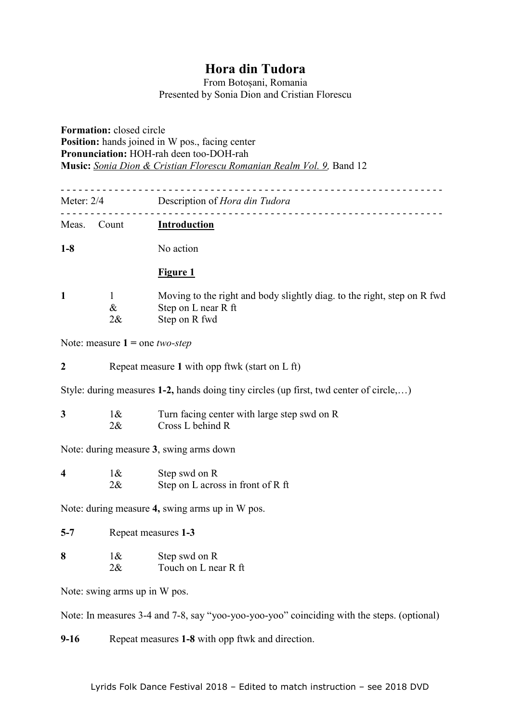## **Hora din Tudora**

From Botoșani, Romania Presented by Sonia Dion and Cristian Florescu

**Formation:** closed circle **Position:** hands joined in W pos., facing center **Pronunciation:** HOH-rah deen too-DOH-rah **Music:** *Sonia Dion & Cristian Florescu Romanian Realm Vol. 9,* Band 12

- - - - - - - - - - - - - - - - - - - - - - - - - - - - - - - - - - - - - - - - - - - - - - - - - - - - - - - - - - - - - - - - Meter: 2/4 Description of *Hora din Tudora* - - - - - - - - - - - - - - - - - - - - - - - - - - - - - - - - - - - - - - - - - - - - - - - - - - - - - - - - - - - - - - - - Meas. Count **Introduction** 1-8 No action **Figure 1 1** 1 Moving to the right and body slightly diag. to the right, step on R fwd & Step on L near R ft 2& Step on R fwd Note: measure **1 =** one *two-step* **2** Repeat measure **1** with opp ftwk (start on L ft) Style: during measures **1-2,** hands doing tiny circles (up first, twd center of circle,…) **3** 1& Turn facing center with large step swd on R 2& Cross L behind R Note: during measure **3**, swing arms down **4** 1& Step swd on R 2& Step on L across in front of R ft Note: during measure **4,** swing arms up in W pos. **5-7** Repeat measures **1-3 8** 1& Step swd on R 2& Touch on L near R ft Note: swing arms up in W pos. Note: In measures 3-4 and 7-8, say "yoo-yoo-yoo-yoo" coinciding with the steps. (optional) **9-16** Repeat measures **1-8** with opp ftwk and direction.